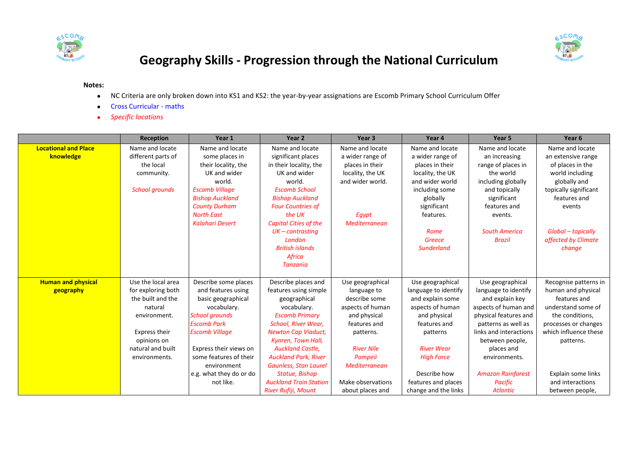



## **Geography Skills - Progression through the National Curriculum**

## **Notes:**

- NC Criteria are only broken down into KS1 and KS2: the year-by-year assignations are Escomb Primary School Curriculum Offer
- **•** Cross Curricular maths
- *Specific locations*

|                             | <b>Reception</b>      | Year 1                  | Year <sub>2</sub>             | Year <sub>3</sub> | Year 4               | Year 5                   | Year <sub>6</sub>     |
|-----------------------------|-----------------------|-------------------------|-------------------------------|-------------------|----------------------|--------------------------|-----------------------|
| <b>Locational and Place</b> | Name and locate       | Name and locate         | Name and locate               | Name and locate   | Name and locate      | Name and locate          | Name and locate       |
| knowledge                   | different parts of    | some places in          | significant places            | a wider range of  | a wider range of     | an increasing            | an extensive range    |
|                             | the local             | their locality, the     | in their locality, the        | places in their   | places in their      | range of places in       | of places in the      |
|                             | community.            | UK and wider            | UK and wider                  | locality, the UK  | locality, the UK     | the world                | world including       |
|                             |                       | world.                  | world.                        | and wider world.  | and wider world      | including globally       | globally and          |
|                             | <b>School grounds</b> | <b>Escomb Village</b>   | <b>Escomb School</b>          |                   | including some       | and topically            | topically significant |
|                             |                       | <b>Bishop Auckland</b>  | <b>Bishop Auckland</b>        |                   | globally             | significant              | features and          |
|                             |                       | <b>County Durham</b>    | <b>Four Countries of</b>      |                   | significant          | features and             | events                |
|                             |                       | <b>North East</b>       | the UK                        | Egypt             | features.            | events.                  |                       |
|                             |                       | <b>Kalahari Desert</b>  | <b>Capital Cities of the</b>  | Mediterranean     |                      |                          |                       |
|                             |                       |                         | $UK$ – contrasting            |                   | Rome                 | <b>South America</b>     | Global - topically    |
|                             |                       |                         | London                        |                   | Greece               | <b>Brazil</b>            | affected by Climate   |
|                             |                       |                         | <b>British islands</b>        |                   | <b>Sunderland</b>    |                          | change                |
|                             |                       |                         | Africa                        |                   |                      |                          |                       |
|                             |                       |                         | Tanzania                      |                   |                      |                          |                       |
|                             |                       |                         |                               |                   |                      |                          |                       |
| <b>Human and physical</b>   | Use the local area    | Describe some places    | Describe places and           | Use geographical  | Use geographical     | Use geographical         | Recognise patterns in |
| geography                   | for exploring both    | and features using      | features using simple         | language to       | language to identify | language to identify     | human and physical    |
|                             | the built and the     | basic geographical      | geographical                  | describe some     | and explain some     | and explain key          | features and          |
|                             | natural               | vocabulary.             | vocabulary.                   | aspects of human  | aspects of human     | aspects of human and     | understand some of    |
|                             | environment.          | <b>School grounds</b>   | <b>Escomb Primary</b>         | and physical      | and physical         | physical features and    | the conditions,       |
|                             |                       | <b>Escomb Park</b>      | School, River Wear,           | features and      | features and         | patterns as well as      | processes or changes  |
|                             | Express their         | <b>Escomb Village</b>   | <b>Newton Cap Viaduct,</b>    | patterns.         | patterns             | links and interactions   | which influence these |
|                             | opinions on           |                         | Kynren, Town Hall,            |                   |                      | between people,          | patterns.             |
|                             | natural and built     | Express their views on  | <b>Auckland Castle.</b>       | <b>River Nile</b> | <b>River Wear</b>    | places and               |                       |
|                             | environments.         | some features of their  | <b>Auckland Park, River</b>   | Pompeii           | <b>High Force</b>    | environments.            |                       |
|                             |                       | environment             | Gaunless, Stan Laurel         | Mediterranean     |                      |                          |                       |
|                             |                       | e.g. what they do or do | Statue, Bishop                |                   | Describe how         | <b>Amazon Rainforest</b> | Explain some links    |
|                             |                       | not like.               | <b>Auckland Train Station</b> | Make observations | features and places  | <b>Pacific</b>           | and interactions      |
|                             |                       |                         | River Rufiji, Mount           | about places and  | change and the links | <b>Atlantic</b>          | between people,       |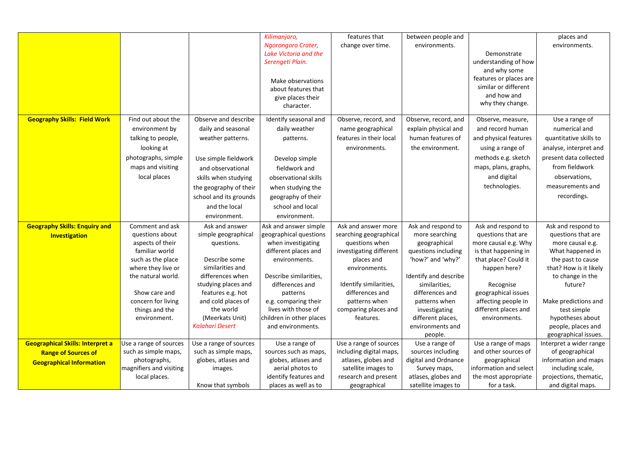|                                         |                                     |                                         | Kilimanjaro,                     | features that                             | between people and             |                                            | places and              |
|-----------------------------------------|-------------------------------------|-----------------------------------------|----------------------------------|-------------------------------------------|--------------------------------|--------------------------------------------|-------------------------|
|                                         |                                     |                                         | Ngorongoro Crater,               | change over time.                         | environments.                  |                                            | environments.           |
|                                         |                                     |                                         | Lake Victoria and the            |                                           |                                | Demonstrate                                |                         |
|                                         |                                     |                                         | Serengeti Plain.                 |                                           |                                | understanding of how                       |                         |
|                                         |                                     |                                         |                                  |                                           |                                | and why some                               |                         |
|                                         |                                     |                                         |                                  |                                           |                                | features or places are                     |                         |
|                                         |                                     |                                         | Make observations                |                                           |                                | similar or different                       |                         |
|                                         |                                     |                                         | about features that              |                                           |                                | and how and                                |                         |
|                                         |                                     |                                         | give places their<br>character.  |                                           |                                | why they change.                           |                         |
|                                         |                                     |                                         |                                  |                                           |                                |                                            |                         |
| <b>Geography Skills: Field Work</b>     | Find out about the                  | Observe and describe                    | Identify seasonal and            | Observe, record, and                      | Observe, record, and           | Observe, measure,                          | Use a range of          |
|                                         | environment by                      | daily and seasonal                      | daily weather                    | name geographical                         | explain physical and           | and record human                           | numerical and           |
|                                         | talking to people,                  | weather patterns.                       | patterns.                        | features in their local                   | human features of              | and physical features                      | quantitative skills to  |
|                                         | looking at                          |                                         |                                  | environments.                             | the environment.               | using a range of                           | analyse, interpret and  |
|                                         | photographs, simple                 | Use simple fieldwork                    | Develop simple                   |                                           |                                | methods e.g. sketch                        | present data collected  |
|                                         | maps and visiting                   | and observational                       | fieldwork and                    |                                           |                                | maps, plans, graphs,                       | from fieldwork          |
|                                         | local places                        | skills when studying                    | observational skills             |                                           |                                | and digital                                | observations,           |
|                                         |                                     | the geography of their                  | when studying the                |                                           |                                | technologies.                              | measurements and        |
|                                         |                                     | school and its grounds                  |                                  |                                           |                                |                                            | recordings.             |
|                                         |                                     |                                         | geography of their               |                                           |                                |                                            |                         |
|                                         |                                     | and the local                           | school and local                 |                                           |                                |                                            |                         |
|                                         |                                     | environment.                            | environment.                     |                                           |                                |                                            |                         |
| <b>Geography Skills: Enquiry and</b>    | Comment and ask                     | Ask and answer                          | Ask and answer simple            | Ask and answer more                       | Ask and respond to             | Ask and respond to                         | Ask and respond to      |
| Investigation                           | questions about                     | simple geographical                     | geographical questions           | searching geographical                    | more searching                 | questions that are                         | questions that are      |
|                                         | aspects of their                    | questions.                              | when investigating               | questions when                            | geographical                   | more causal e.g. Why                       | more causal e.g.        |
|                                         | familiar world                      |                                         | different places and             | investigating different                   | questions including            | is that happening in                       | What happened in        |
|                                         | such as the place                   | Describe some                           | environments.                    | places and                                | 'how?' and 'why?'              | that place? Could it                       | the past to cause       |
|                                         | where they live or                  | similarities and                        |                                  | environments.                             |                                | happen here?                               | that? How is it likely  |
|                                         | the natural world.                  | differences when                        | Describe similarities,           |                                           | Identify and describe          |                                            | to change in the        |
|                                         |                                     | studying places and                     | differences and                  | Identify similarities,<br>differences and | similarities,                  | Recognise                                  | future?                 |
|                                         | Show care and<br>concern for living | features e.g. hot<br>and cold places of | patterns<br>e.g. comparing their | patterns when                             | differences and                | geographical issues<br>affecting people in | Make predictions and    |
|                                         | things and the                      | the world                               | lives with those of              | comparing places and                      | patterns when<br>investigating | different places and                       | test simple             |
|                                         | environment.                        | (Meerkats Unit)                         | children in other places         | features.                                 | different places,              | environments.                              | hypotheses about        |
|                                         |                                     | <b>Kalahari Desert</b>                  | and environments.                |                                           | environments and               |                                            | people, places and      |
|                                         |                                     |                                         |                                  |                                           | people.                        |                                            | geographical issues.    |
| <b>Geographical Skills: Interpret a</b> | Use a range of sources              | Use a range of sources                  | Use a range of                   | Use a range of sources                    | Use a range of                 | Use a range of maps                        | Interpret a wider range |
| <b>Range of Sources of</b>              | such as simple maps,                | such as simple maps,                    | sources such as maps,            | including digital maps,                   | sources including              | and other sources of                       | of geographical         |
| <b>Geographical Information</b>         | photographs,                        | globes, atlases and                     | globes, atlases and              | atlases, globes and                       | digital and Ordnance           | geographical                               | information and maps    |
|                                         | magnifiers and visiting             | images.                                 | aerial photos to                 | satellite images to                       | Survey maps,                   | information and select                     | including scale,        |
|                                         | local places.                       |                                         | identify features and            | research and present                      | atlases, globes and            | the most appropriate                       | projections, thematic,  |
|                                         |                                     | Know that symbols                       | places as well as to             | geographical                              | satellite images to            | for a task.                                | and digital maps.       |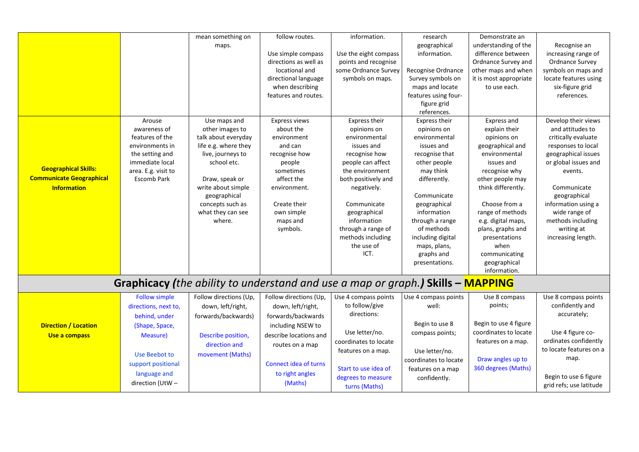|                                 |                                           | mean something on                                                                      | follow routes.                              | information.                                  | research                  | Demonstrate an                            |                                        |
|---------------------------------|-------------------------------------------|----------------------------------------------------------------------------------------|---------------------------------------------|-----------------------------------------------|---------------------------|-------------------------------------------|----------------------------------------|
|                                 |                                           | maps.                                                                                  |                                             |                                               | geographical              | understanding of the                      | Recognise an                           |
|                                 |                                           |                                                                                        | Use simple compass<br>directions as well as | Use the eight compass<br>points and recognise | information.              | difference between<br>Ordnance Survey and | increasing range of<br>Ordnance Survey |
|                                 |                                           |                                                                                        | locational and                              | some Ordnance Survey                          | Recognise Ordnance        | other maps and when                       | symbols on maps and                    |
|                                 |                                           |                                                                                        | directional language                        | symbols on maps.                              | Survey symbols on         | it is most appropriate                    | locate features using                  |
|                                 |                                           |                                                                                        | when describing                             |                                               | maps and locate           | to use each.                              | six-figure grid                        |
|                                 |                                           |                                                                                        | features and routes.                        |                                               | features using four-      |                                           | references.                            |
|                                 |                                           |                                                                                        |                                             |                                               | figure grid               |                                           |                                        |
|                                 |                                           |                                                                                        |                                             |                                               | references.               |                                           |                                        |
|                                 | Arouse                                    | Use maps and                                                                           | <b>Express views</b>                        | Express their                                 | Express their             | Express and                               | Develop their views                    |
|                                 | awareness of                              | other images to                                                                        | about the                                   | opinions on                                   | opinions on               | explain their                             | and attitudes to                       |
|                                 | features of the                           | talk about everyday                                                                    | environment                                 | environmental                                 | environmental             | opinions on                               | critically evaluate                    |
|                                 | environments in                           | life e.g. where they                                                                   | and can                                     | issues and                                    | issues and                | geographical and                          | responses to local                     |
|                                 | the setting and                           | live, journeys to                                                                      | recognise how                               | recognise how                                 | recognise that            | environmental                             | geographical issues                    |
| <b>Geographical Skills:</b>     | immediate local                           | school etc.                                                                            | people                                      | people can affect                             | other people              | issues and                                | or global issues and                   |
| <b>Communicate Geographical</b> | area. E.g. visit to<br><b>Escomb Park</b> | Draw, speak or                                                                         | sometimes<br>affect the                     | the environment<br>both positively and        | may think<br>differently. | recognise why<br>other people may         | events.                                |
| <b>Information</b>              |                                           | write about simple                                                                     | environment.                                | negatively.                                   |                           | think differently.                        | Communicate                            |
|                                 |                                           | geographical                                                                           |                                             |                                               | Communicate               |                                           | geographical                           |
|                                 |                                           | concepts such as                                                                       | Create their                                | Communicate                                   | geographical              | Choose from a                             | information using a                    |
|                                 |                                           | what they can see                                                                      | own simple                                  | geographical                                  | information               | range of methods                          | wide range of                          |
|                                 |                                           | where.                                                                                 | maps and                                    | information                                   | through a range           | e.g. digital maps,                        | methods including                      |
|                                 |                                           |                                                                                        | symbols.                                    | through a range of                            | of methods                | plans, graphs and                         | writing at                             |
|                                 |                                           |                                                                                        |                                             | methods including                             | including digital         | presentations                             | increasing length.                     |
|                                 |                                           |                                                                                        |                                             | the use of                                    | maps, plans,              | when                                      |                                        |
|                                 |                                           |                                                                                        |                                             | ICT.                                          | graphs and                | communicating                             |                                        |
|                                 |                                           |                                                                                        |                                             |                                               | presentations.            | geographical                              |                                        |
|                                 |                                           |                                                                                        |                                             |                                               |                           | information.                              |                                        |
|                                 |                                           | <b>Graphicacy (the ability to understand and use a map or graph.) Skills - MAPPING</b> |                                             |                                               |                           |                                           |                                        |
|                                 | <b>Follow simple</b>                      | Follow directions (Up,                                                                 | Follow directions (Up,                      | Use 4 compass points                          | Use 4 compass points      | Use 8 compass                             | Use 8 compass points                   |
|                                 | directions, next to,                      | down, left/right,                                                                      | down, left/right,                           | to follow/give                                | well:                     | points;                                   | confidently and                        |
|                                 | behind, under                             | forwards/backwards)                                                                    | forwards/backwards                          | directions:                                   |                           |                                           | accurately;                            |
| <b>Direction / Location</b>     | (Shape, Space,                            |                                                                                        | including NSEW to                           |                                               | Begin to use 8            | Begin to use 4 figure                     |                                        |
| Use a compass                   | Measure)                                  | Describe position,                                                                     | describe locations and                      | Use letter/no.                                | compass points;           | coordinates to locate                     | Use 4 figure co-                       |
|                                 |                                           | direction and                                                                          | routes on a map                             | coordinates to locate                         |                           | features on a map.                        | ordinates confidently                  |
|                                 | Use Beebot to                             | movement (Maths)                                                                       |                                             | features on a map.                            | Use letter/no.            |                                           | to locate features on a                |
|                                 | support positional                        |                                                                                        | Connect idea of turns                       |                                               | coordinates to locate     | Draw angles up to                         | map.                                   |
|                                 | language and                              |                                                                                        | to right angles                             | Start to use idea of                          | features on a map         | 360 degrees (Maths)                       |                                        |
|                                 |                                           |                                                                                        |                                             | degrees to measure                            | confidently.              |                                           | Begin to use 6 figure                  |
|                                 | direction (UtW-                           |                                                                                        | (Maths)                                     | turns (Maths)                                 |                           |                                           | grid refs; use latitude                |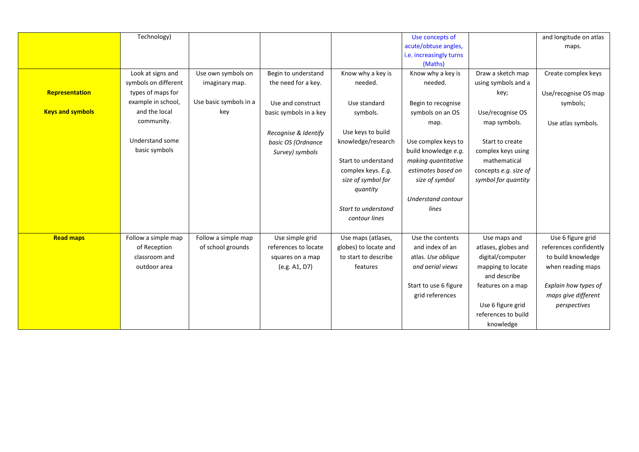|                         | Technology)            |                        |                        |                       | Use concepts of           |                       | and longitude on atlas |
|-------------------------|------------------------|------------------------|------------------------|-----------------------|---------------------------|-----------------------|------------------------|
|                         |                        |                        |                        |                       | acute/obtuse angles,      |                       | maps.                  |
|                         |                        |                        |                        |                       | i.e. increasingly turns   |                       |                        |
|                         |                        |                        |                        |                       | (Maths)                   |                       |                        |
|                         | Look at signs and      | Use own symbols on     | Begin to understand    | Know why a key is     | Know why a key is         | Draw a sketch map     | Create complex keys    |
|                         | symbols on different   | imaginary map.         | the need for a key.    | needed.               | needed.                   | using symbols and a   |                        |
| Representation          | types of maps for      |                        |                        |                       |                           | key;                  | Use/recognise OS map   |
|                         | example in school,     | Use basic symbols in a | Use and construct      | Use standard          | Begin to recognise        |                       | symbols;               |
| <b>Keys and symbols</b> | and the local          | key                    | basic symbols in a key | symbols.              | symbols on an OS          | Use/recognise OS      |                        |
|                         | community.             |                        |                        |                       | map.                      | map symbols.          | Use atlas symbols.     |
|                         |                        |                        | Recognise & Identify   | Use keys to build     |                           |                       |                        |
|                         | <b>Understand some</b> |                        | basic OS (Ordnance     | knowledge/research    | Use complex keys to       | Start to create       |                        |
|                         | basic symbols          |                        | Survey) symbols        |                       | build knowledge e.g.      | complex keys using    |                        |
|                         |                        |                        |                        | Start to understand   | making quantitative       | mathematical          |                        |
|                         |                        |                        |                        | complex keys. E.g.    | estimates based on        | concepts e.g. size of |                        |
|                         |                        |                        |                        | size of symbol for    | size of symbol            | symbol for quantity   |                        |
|                         |                        |                        |                        | quantity              |                           |                       |                        |
|                         |                        |                        |                        |                       | <b>Understand contour</b> |                       |                        |
|                         |                        |                        |                        | Start to understand   | lines                     |                       |                        |
|                         |                        |                        |                        | contour lines         |                           |                       |                        |
|                         |                        |                        |                        |                       |                           |                       |                        |
| <b>Read maps</b>        | Follow a simple map    | Follow a simple map    | Use simple grid        | Use maps (atlases,    | Use the contents          | Use maps and          | Use 6 figure grid      |
|                         | of Reception           | of school grounds      | references to locate   | globes) to locate and | and index of an           | atlases, globes and   | references confidently |
|                         | classroom and          |                        | squares on a map       | to start to describe  | atlas. Use oblique        | digital/computer      | to build knowledge     |
|                         | outdoor area           |                        | (e.g. A1, D7)          | features              | and aerial views          | mapping to locate     | when reading maps      |
|                         |                        |                        |                        |                       |                           | and describe          |                        |
|                         |                        |                        |                        |                       | Start to use 6 figure     | features on a map     | Explain how types of   |
|                         |                        |                        |                        |                       | grid references           |                       | maps give different    |
|                         |                        |                        |                        |                       |                           | Use 6 figure grid     | perspectives           |
|                         |                        |                        |                        |                       |                           | references to build   |                        |
|                         |                        |                        |                        |                       |                           | knowledge             |                        |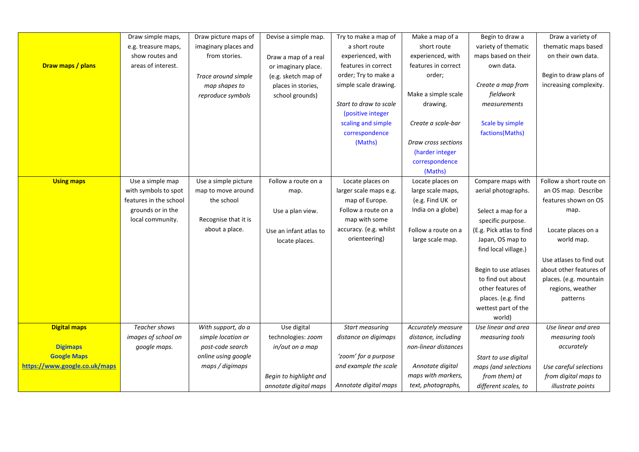|                               | Draw simple maps,      | Draw picture maps of | Devise a simple map.   | Try to make a map of   | Make a map of a      | Begin to draw a          | Draw a variety of       |
|-------------------------------|------------------------|----------------------|------------------------|------------------------|----------------------|--------------------------|-------------------------|
|                               | e.g. treasure maps,    | imaginary places and |                        | a short route          | short route          | variety of thematic      | thematic maps based     |
|                               | show routes and        | from stories.        | Draw a map of a real   | experienced, with      | experienced, with    | maps based on their      | on their own data.      |
| Draw maps / plans             | areas of interest.     |                      | or imaginary place.    | features in correct    | features in correct  | own data.                |                         |
|                               |                        | Trace around simple  | (e.g. sketch map of    | order; Try to make a   | order;               |                          | Begin to draw plans of  |
|                               |                        | map shapes to        | places in stories,     | simple scale drawing.  |                      | Create a map from        | increasing complexity.  |
|                               |                        | reproduce symbols    | school grounds)        |                        | Make a simple scale  | fieldwork                |                         |
|                               |                        |                      |                        | Start to draw to scale | drawing.             | measurements             |                         |
|                               |                        |                      |                        | (positive integer      |                      |                          |                         |
|                               |                        |                      |                        | scaling and simple     | Create a scale-bar   | Scale by simple          |                         |
|                               |                        |                      |                        | correspondence         |                      | factions(Maths)          |                         |
|                               |                        |                      |                        | (Maths)                | Draw cross sections  |                          |                         |
|                               |                        |                      |                        |                        | (harder integer      |                          |                         |
|                               |                        |                      |                        |                        | correspondence       |                          |                         |
|                               |                        |                      |                        |                        | (Maths)              |                          |                         |
| <b>Using maps</b>             | Use a simple map       | Use a simple picture | Follow a route on a    | Locate places on       | Locate places on     | Compare maps with        | Follow a short route on |
|                               | with symbols to spot   | map to move around   | map.                   | larger scale maps e.g. | large scale maps,    | aerial photographs.      | an OS map. Describe     |
|                               | features in the school | the school           |                        | map of Europe.         | (e.g. Find UK or     |                          | features shown on OS    |
|                               | grounds or in the      |                      | Use a plan view.       | Follow a route on a    | India on a globe)    | Select a map for a       | map.                    |
|                               | local community.       | Recognise that it is |                        | map with some          |                      | specific purpose.        |                         |
|                               |                        | about a place.       | Use an infant atlas to | accuracy. (e.g. whilst | Follow a route on a  | (E.g. Pick atlas to find | Locate places on a      |
|                               |                        |                      | locate places.         | orienteering)          | large scale map.     | Japan, OS map to         | world map.              |
|                               |                        |                      |                        |                        |                      | find local village.)     |                         |
|                               |                        |                      |                        |                        |                      |                          | Use atlases to find out |
|                               |                        |                      |                        |                        |                      | Begin to use atlases     | about other features of |
|                               |                        |                      |                        |                        |                      | to find out about        | places. (e.g. mountain  |
|                               |                        |                      |                        |                        |                      | other features of        | regions, weather        |
|                               |                        |                      |                        |                        |                      | places. (e.g. find       | patterns                |
|                               |                        |                      |                        |                        |                      | wettest part of the      |                         |
|                               |                        |                      |                        |                        |                      | world)                   |                         |
| <b>Digital maps</b>           | <b>Teacher shows</b>   | With support, do a   | Use digital            | Start measuring        | Accurately measure   | Use linear and area      | Use linear and area     |
|                               | images of school on    | simple location or   | technologies: zoom     | distance on digimaps   | distance, including  | measuring tools          | measuring tools         |
| <b>Digimaps</b>               | google maps.           | post-code search     | in/out on a map        |                        | non-linear distances |                          | accurately              |
| <b>Google Maps</b>            |                        | online using google  |                        | 'zoom' for a purpose   |                      | Start to use digital     |                         |
| https://www.google.co.uk/maps |                        | maps / digimaps      |                        | and example the scale  | Annotate digital     | maps (and selections     | Use careful selections  |
|                               |                        |                      | Begin to highlight and |                        | maps with markers,   | from them) at            | from digital maps to    |
|                               |                        |                      | annotate digital maps  | Annotate digital maps  | text, photographs,   | different scales, to     | illustrate points       |